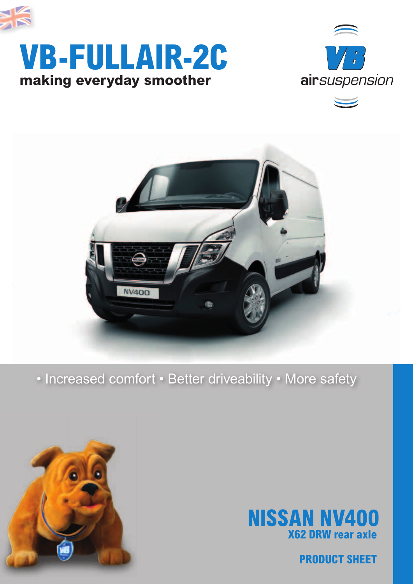

## **making everyday smoother VB-FULLAIR-2C**





### • Increased comfort • Better driveability • More safety





**PRODUCT SHEET**